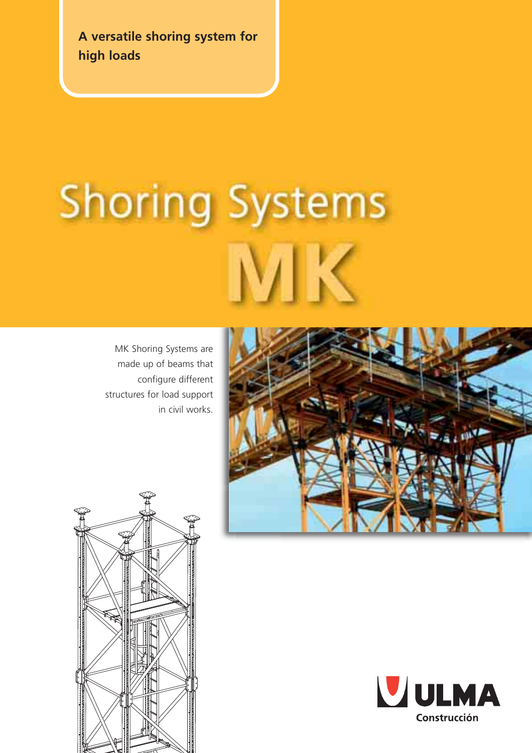**A versatile shoring system for high loads**

# **Shoring Systems**

MK Shoring Systems are made up of beams that configure different structures for load support in civil works.





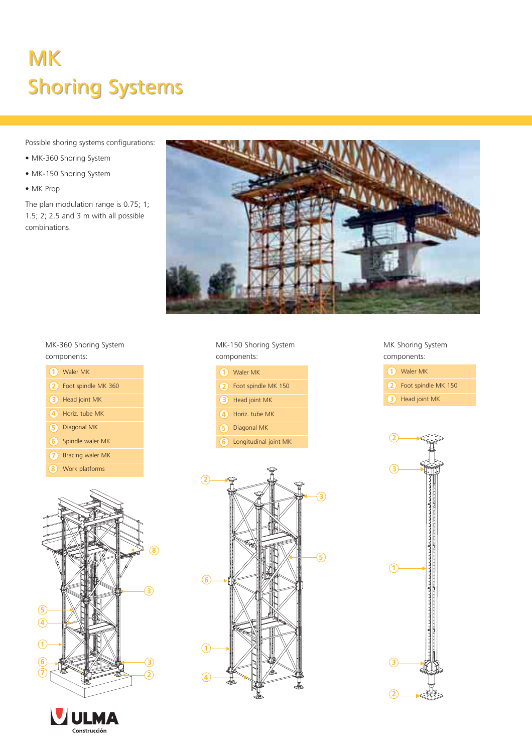# MK MK Shoring Systems Shoring Systems

Possible shoring systems configurations:

- MK-360 Shoring System
- MK-150 Shoring System
- MK Prop

The plan modulation range is 0.75; 1; 1.5; 2; 2.5 and 3 m with all possible combinations.



### MK-360 Shoring System components:

| (1) Waler MK            |
|-------------------------|
| (2) Foot spindle MK 360 |
| (3) Head joint MK       |
| (4) Horiz, tube MK      |
| (5) Diagonal MK         |
| (6) Spindle waler MK    |
| (7) Bracing waler MK    |
| 8) Work platforms       |





MK-150 Shoring System components:

|    | (1) Waler MK            |
|----|-------------------------|
|    | (2) Foot spindle MK 150 |
|    | (3) Head joint MK       |
|    | 4) Horiz, tube MK       |
|    | (5) Diagonal MK         |
| 6) | Longitudinal joint MK   |

MK Shoring System components:

| $(1)$ Waler MK          |
|-------------------------|
| (2) Foot spindle MK 150 |
| (3) Head joint MK       |

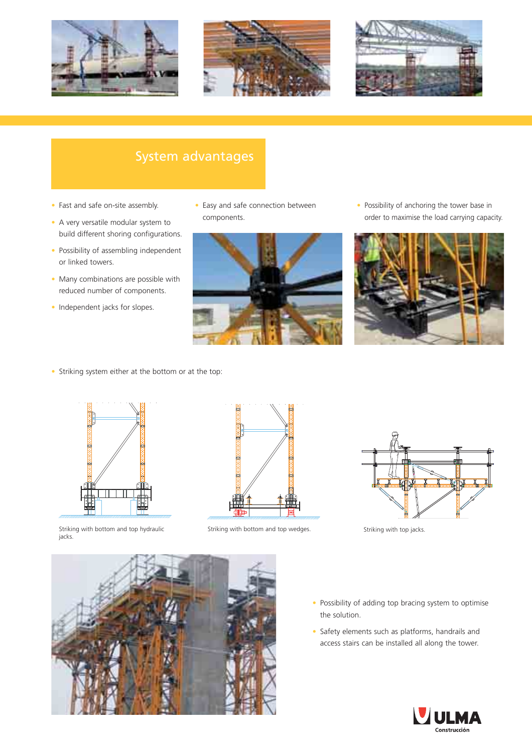





### System advantages

- Fast and safe on-site assembly.
- A very versatile modular system to build different shoring configurations.
- Possibility of assembling independent or linked towers.
- Many combinations are possible with reduced number of components.
- Independent jacks for slopes.

• Easy and safe connection between components.



• Possibility of anchoring the tower base in order to maximise the load carrying capacity.



• Striking system either at the bottom or at the top:



Striking with bottom and top hydraulic jacks.



Striking with bottom and top wedges. Striking with top jacks.





- Possibility of adding top bracing system to optimise the solution.
- Safety elements such as platforms, handrails and access stairs can be installed all along the tower.